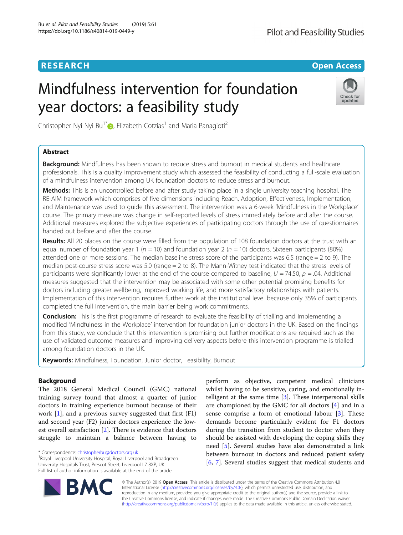# **RESEARCH RESEARCH** *CHECK CHECK CHECK CHECK CHECK CHECK CHECK CHECK CHECK CHECK CHECK CHECK CHECK CHECK CHECK CHECK CHECK CHECK CHECK CHECK CHECK CHECK CHECK CHECK CHECK CHECK CHECK CHECK CHECK CHECK CHECK CHECK CHECK*

# Mindfulness intervention for foundation year doctors: a feasibility study



Christopher Nyi Nyi Bu<sup>1\*</sup> <sub>(b)</sub> Elizabeth Cotzias<sup>1</sup> and Maria Panagioti<sup>2</sup>

# Abstract

**Background:** Mindfulness has been shown to reduce stress and burnout in medical students and healthcare professionals. This is a quality improvement study which assessed the feasibility of conducting a full-scale evaluation of a mindfulness intervention among UK foundation doctors to reduce stress and burnout.

Methods: This is an uncontrolled before and after study taking place in a single university teaching hospital. The RE-AIM framework which comprises of five dimensions including Reach, Adoption, Effectiveness, Implementation, and Maintenance was used to guide this assessment. The intervention was a 6-week 'Mindfulness in the Workplace' course. The primary measure was change in self-reported levels of stress immediately before and after the course. Additional measures explored the subjective experiences of participating doctors through the use of questionnaires handed out before and after the course.

Results: All 20 places on the course were filled from the population of 108 foundation doctors at the trust with an equal number of foundation year 1 ( $n = 10$ ) and foundation year 2 ( $n = 10$ ) doctors. Sixteen participants (80%) attended one or more sessions. The median baseline stress score of the participants was 6.5 (range = 2 to 9). The median post-course stress score was 5.0 (range = 2 to 8). The Mann-Witney test indicated that the stress levels of participants were significantly lower at the end of the course compared to baseline,  $U = 74.50$ ,  $p = .04$ . Additional measures suggested that the intervention may be associated with some other potential promising benefits for doctors including greater wellbeing, improved working life, and more satisfactory relationships with patients. Implementation of this intervention requires further work at the institutional level because only 35% of participants completed the full intervention, the main barrier being work commitments.

**Conclusion:** This is the first programme of research to evaluate the feasibility of trialling and implementing a modified 'Mindfulness in the Workplace' intervention for foundation junior doctors in the UK. Based on the findings from this study, we conclude that this intervention is promising but further modifications are required such as the use of validated outcome measures and improving delivery aspects before this intervention programme is trialled among foundation doctors in the UK.

Keywords: Mindfulness, Foundation, Junior doctor, Feasibility, Burnout

# Background

The 2018 General Medical Council (GMC) national training survey found that almost a quarter of junior doctors in training experience burnout because of their work [[1\]](#page-7-0), and a previous survey suggested that first (F1) and second year (F2) junior doctors experience the lowest overall satisfaction [[2\]](#page-7-0). There is evidence that doctors struggle to maintain a balance between having to

<sup>1</sup> Royal Liverpool University Hospital, Royal Liverpool and Broadgreen University Hospitals Trust, Prescot Street, Liverpool L7 8XP, UK Full list of author information is available at the end of the article

perform as objective, competent medical clinicians whilst having to be sensitive, caring, and emotionally intelligent at the same time [[3\]](#page-7-0). These interpersonal skills are championed by the GMC for all doctors [\[4](#page-7-0)] and in a sense comprise a form of emotional labour [\[3](#page-7-0)]. These demands become particularly evident for F1 doctors during the transition from student to doctor when they should be assisted with developing the coping skills they need [\[5](#page-7-0)]. Several studies have also demonstrated a link between burnout in doctors and reduced patient safety [[6,](#page-7-0) [7](#page-7-0)]. Several studies suggest that medical students and



© The Author(s). 2019 **Open Access** This article is distributed under the terms of the Creative Commons Attribution 4.0 International License [\(http://creativecommons.org/licenses/by/4.0/](http://creativecommons.org/licenses/by/4.0/)), which permits unrestricted use, distribution, and reproduction in any medium, provided you give appropriate credit to the original author(s) and the source, provide a link to the Creative Commons license, and indicate if changes were made. The Creative Commons Public Domain Dedication waiver [\(http://creativecommons.org/publicdomain/zero/1.0/](http://creativecommons.org/publicdomain/zero/1.0/)) applies to the data made available in this article, unless otherwise stated.

<sup>\*</sup> Correspondence: [christopherbu@doctors.org.uk](mailto:christopherbu@doctors.org.uk) <sup>1</sup>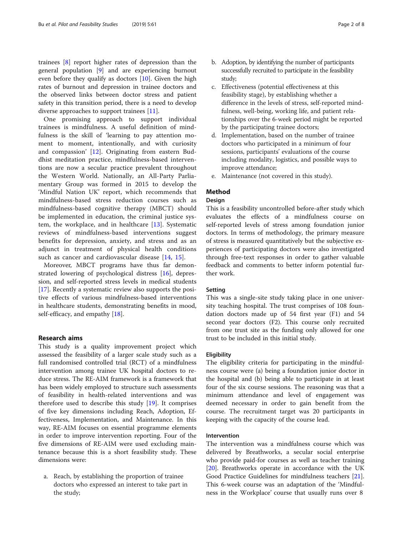trainees [\[8](#page-7-0)] report higher rates of depression than the general population [[9\]](#page-7-0) and are experiencing burnout even before they qualify as doctors  $[10]$  $[10]$  $[10]$ . Given the high rates of burnout and depression in trainee doctors and the observed links between doctor stress and patient safety in this transition period, there is a need to develop diverse approaches to support trainees [[11](#page-7-0)].

One promising approach to support individual trainees is mindfulness. A useful definition of mindfulness is the skill of 'learning to pay attention moment to moment, intentionally, and with curiosity and compassion' [\[12](#page-7-0)]. Originating from eastern Buddhist meditation practice, mindfulness-based interventions are now a secular practice prevalent throughout the Western World. Nationally, an All-Party Parliamentary Group was formed in 2015 to develop the 'Mindful Nation UK' report, which recommends that mindfulness-based stress reduction courses such as mindfulness-based cognitive therapy (MBCT) should be implemented in education, the criminal justice system, the workplace, and in healthcare [[13\]](#page-7-0). Systematic reviews of mindfulness-based interventions suggest benefits for depression, anxiety, and stress and as an adjunct in treatment of physical health conditions such as cancer and cardiovascular disease [[14,](#page-7-0) [15\]](#page-7-0).

Moreover, MBCT programs have thus far demonstrated lowering of psychological distress [\[16\]](#page-7-0), depression, and self-reported stress levels in medical students [[17\]](#page-7-0). Recently a systematic review also supports the positive effects of various mindfulness-based interventions in healthcare students, demonstrating benefits in mood, self-efficacy, and empathy [\[18](#page-7-0)].

#### Research aims

This study is a quality improvement project which assessed the feasibility of a larger scale study such as a full randomised controlled trial (RCT) of a mindfulness intervention among trainee UK hospital doctors to reduce stress. The RE-AIM framework is a framework that has been widely employed to structure such assessments of feasibility in health-related interventions and was therefore used to describe this study [\[19](#page-7-0)]. It comprises of five key dimensions including Reach, Adoption, Effectiveness, Implementation, and Maintenance. In this way, RE-AIM focuses on essential programme elements in order to improve intervention reporting. Four of the five dimensions of RE-AIM were used excluding maintenance because this is a short feasibility study. These dimensions were:

a. Reach, by establishing the proportion of trainee doctors who expressed an interest to take part in the study;

- b. Adoption, by identifying the number of participants successfully recruited to participate in the feasibility study;
- c. Effectiveness (potential effectiveness at this feasibility stage), by establishing whether a difference in the levels of stress, self-reported mindfulness, well-being, working life, and patient relationships over the 6-week period might be reported by the participating trainee doctors;
- d. Implementation, based on the number of trainee doctors who participated in a minimum of four sessions, participants' evaluations of the course including modality, logistics, and possible ways to improve attendance;
- e. Maintenance (not covered in this study).

# Method

# Design

This is a feasibility uncontrolled before-after study which evaluates the effects of a mindfulness course on self-reported levels of stress among foundation junior doctors. In terms of methodology, the primary measure of stress is measured quantitatively but the subjective experiences of participating doctors were also investigated through free-text responses in order to gather valuable feedback and comments to better inform potential further work.

#### Setting

This was a single-site study taking place in one university teaching hospital. The trust comprises of 108 foundation doctors made up of 54 first year (F1) and 54 second year doctors (F2). This course only recruited from one trust site as the funding only allowed for one trust to be included in this initial study.

#### **Eligibility**

The eligibility criteria for participating in the mindfulness course were (a) being a foundation junior doctor in the hospital and (b) being able to participate in at least four of the six course sessions. The reasoning was that a minimum attendance and level of engagement was deemed necessary in order to gain benefit from the course. The recruitment target was 20 participants in keeping with the capacity of the course lead.

# Intervention

The intervention was a mindfulness course which was delivered by Breathworks, a secular social enterprise who provide paid-for courses as well as teacher training [[20\]](#page-7-0). Breathworks operate in accordance with the UK Good Practice Guidelines for mindfulness teachers [\[21](#page-7-0)]. This 6-week course was an adaptation of the 'Mindfulness in the Workplace' course that usually runs over 8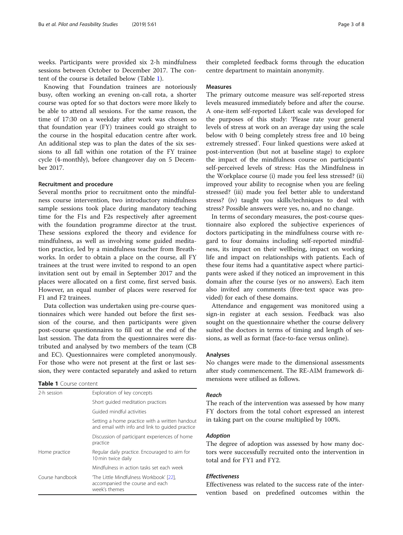weeks. Participants were provided six 2-h mindfulness sessions between October to December 2017. The content of the course is detailed below (Table 1).

Knowing that Foundation trainees are notoriously busy, often working an evening on-call rota, a shorter course was opted for so that doctors were more likely to be able to attend all sessions. For the same reason, the time of 17:30 on a weekday after work was chosen so that foundation year (FY) trainees could go straight to the course in the hospital education centre after work. An additional step was to plan the dates of the six sessions to all fall within one rotation of the FY trainee cycle (4-monthly), before changeover day on 5 December 2017.

# Recruitment and procedure

Several months prior to recruitment onto the mindfulness course intervention, two introductory mindfulness sample sessions took place during mandatory teaching time for the F1s and F2s respectively after agreement with the foundation programme director at the trust. These sessions explored the theory and evidence for mindfulness, as well as involving some guided meditation practice, led by a mindfulness teacher from Breathworks. In order to obtain a place on the course, all FY trainees at the trust were invited to respond to an open invitation sent out by email in September 2017 and the places were allocated on a first come, first served basis. However, an equal number of places were reserved for F1 and F2 trainees.

Data collection was undertaken using pre-course questionnaires which were handed out before the first session of the course, and then participants were given post-course questionnaires to fill out at the end of the last session. The data from the questionnaires were distributed and analysed by two members of the team (CB and EC). Questionnaires were completed anonymously. For those who were not present at the first or last session, they were contacted separately and asked to return

# Table 1 Course content

| 2-h session     | Exploration of key concepts                                                                       |  |  |
|-----------------|---------------------------------------------------------------------------------------------------|--|--|
|                 | Short quided meditation practices                                                                 |  |  |
|                 | Guided mindful activities                                                                         |  |  |
|                 | Setting a home practice with a written handout<br>and email with info and link to quided practice |  |  |
|                 | Discussion of participant experiences of home<br>practice                                         |  |  |
| Home practice   | Regular daily practice. Encouraged to aim for<br>10 min twice daily                               |  |  |
|                 | Mindfulness in action tasks set each week                                                         |  |  |
| Course handbook | The Little Mindfulness Workbook' [22],<br>accompanied the course and each<br>week's themes        |  |  |

their completed feedback forms through the education centre department to maintain anonymity.

#### Measures

The primary outcome measure was self-reported stress levels measured immediately before and after the course. A one-item self-reported Likert scale was developed for the purposes of this study: 'Please rate your general levels of stress at work on an average day using the scale below with 0 being completely stress free and 10 being extremely stressed'. Four linked questions were asked at post-intervention (but not at baseline stage) to explore the impact of the mindfulness course on participants' self-perceived levels of stress: Has the Mindfulness in the Workplace course (i) made you feel less stressed? (ii) improved your ability to recognise when you are feeling stressed? (iii) made you feel better able to understand stress? (iv) taught you skills/techniques to deal with stress? Possible answers were yes, no, and no change.

In terms of secondary measures, the post-course questionnaire also explored the subjective experiences of doctors participating in the mindfulness course with regard to four domains including self-reported mindfulness, its impact on their wellbeing, impact on working life and impact on relationships with patients. Each of these four items had a quantitative aspect where participants were asked if they noticed an improvement in this domain after the course (yes or no answers). Each item also invited any comments (free-text space was provided) for each of these domains.

Attendance and engagement was monitored using a sign-in register at each session. Feedback was also sought on the questionnaire whether the course delivery suited the doctors in terms of timing and length of sessions, as well as format (face-to-face versus online).

#### Analyses

No changes were made to the dimensional assessments after study commencement. The RE-AIM framework dimensions were utilised as follows.

#### Reach

The reach of the intervention was assessed by how many FY doctors from the total cohort expressed an interest in taking part on the course multiplied by 100%.

# Adoption

The degree of adoption was assessed by how many doctors were successfully recruited onto the intervention in total and for FY1 and FY2.

# Effectiveness

Effectiveness was related to the success rate of the intervention based on predefined outcomes within the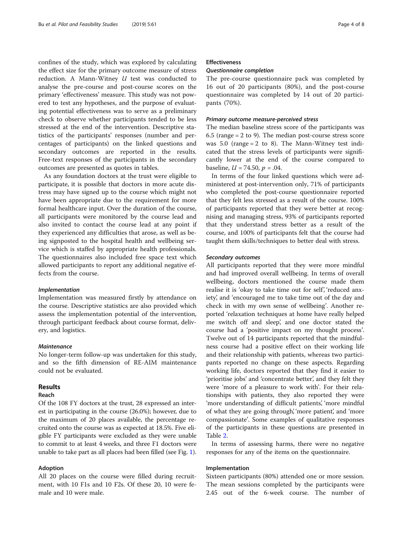confines of the study, which was explored by calculating the effect size for the primary outcome measure of stress reduction. A Mann-Witney  $U$  test was conducted to analyse the pre-course and post-course scores on the primary 'effectiveness' measure. This study was not powered to test any hypotheses, and the purpose of evaluating potential effectiveness was to serve as a preliminary check to observe whether participants tended to be less stressed at the end of the intervention. Descriptive statistics of the participants' responses (number and percentages of participants) on the linked questions and secondary outcomes are reported in the results. Free-text responses of the participants in the secondary outcomes are presented as quotes in tables.

As any foundation doctors at the trust were eligible to participate, it is possible that doctors in more acute distress may have signed up to the course which might not have been appropriate due to the requirement for more formal healthcare input. Over the duration of the course, all participants were monitored by the course lead and also invited to contact the course lead at any point if they experienced any difficulties that arose, as well as being signposted to the hospital health and wellbeing service which is staffed by appropriate health professionals. The questionnaires also included free space text which allowed participants to report any additional negative effects from the course.

#### Implementation

Implementation was measured firstly by attendance on the course. Descriptive statistics are also provided which assess the implementation potential of the intervention, through participant feedback about course format, delivery, and logistics.

# Maintenance

No longer-term follow-up was undertaken for this study, and so the fifth dimension of RE-AIM maintenance could not be evaluated.

#### Results

# Reach

Of the 108 FY doctors at the trust, 28 expressed an interest in participating in the course (26.0%); however, due to the maximum of 20 places available, the percentage recruited onto the course was as expected at 18.5%. Five eligible FY participants were excluded as they were unable to commit to at least 4 weeks, and three F1 doctors were unable to take part as all places had been filled (see Fig. [1](#page-4-0)).

# Adoption

All 20 places on the course were filled during recruitment, with 10 F1s and 10 F2s. Of these 20, 10 were female and 10 were male.

# Effectiveness

## Questionnaire completion

The pre-course questionnaire pack was completed by 16 out of 20 participants (80%), and the post-course questionnaire was completed by 14 out of 20 participants (70%).

## Primary outcome measure-perceived stress

The median baseline stress score of the participants was 6.5 (range = 2 to 9). The median post-course stress score was  $5.0$  (range = 2 to 8). The Mann-Witney test indicated that the stress levels of participants were significantly lower at the end of the course compared to baseline,  $U = 74.50$ ,  $p = .04$ .

In terms of the four linked questions which were administered at post-intervention only, 71% of participants who completed the post-course questionnaire reported that they felt less stressed as a result of the course. 100% of participants reported that they were better at recognising and managing stress, 93% of participants reported that they understand stress better as a result of the course, and 100% of participants felt that the course had taught them skills/techniques to better deal with stress.

#### Secondary outcomes

All participants reported that they were more mindful and had improved overall wellbeing. In terms of overall wellbeing, doctors mentioned the course made them realise it is 'okay to take time out for self', 'reduced anxiety', and 'encouraged me to take time out of the day and check in with my own sense of wellbeing'. Another reported 'relaxation techniques at home have really helped me switch off and sleep', and one doctor stated the course had a 'positive impact on my thought process'. Twelve out of 14 participants reported that the mindfulness course had a positive effect on their working life and their relationship with patients, whereas two participants reported no change on these aspects. Regarding working life, doctors reported that they find it easier to 'prioritise jobs' and 'concentrate better', and they felt they were 'more of a pleasure to work with'. For their relationships with patients, they also reported they were 'more understanding of difficult patients', 'more mindful of what they are going through', 'more patient', and 'more compassionate'. Some examples of qualitative responses of the participants in these questions are presented in Table [2.](#page-5-0)

In terms of assessing harms, there were no negative responses for any of the items on the questionnaire.

# Implementation

Sixteen participants (80%) attended one or more session. The mean sessions completed by the participants were 2.45 out of the 6-week course. The number of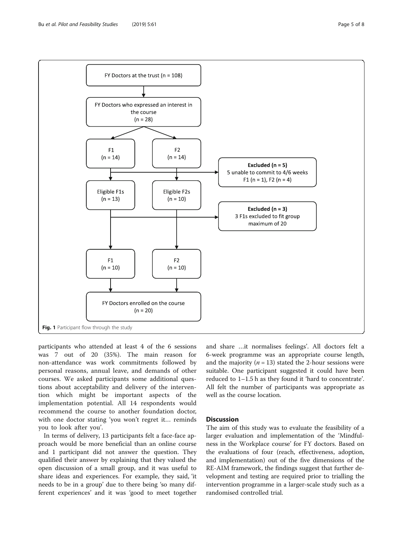<span id="page-4-0"></span>

participants who attended at least 4 of the 6 sessions was 7 out of 20 (35%). The main reason for non-attendance was work commitments followed by personal reasons, annual leave, and demands of other courses. We asked participants some additional questions about acceptability and delivery of the intervention which might be important aspects of the implementation potential. All 14 respondents would recommend the course to another foundation doctor, with one doctor stating 'you won't regret it… reminds you to look after you'.

In terms of delivery, 13 participants felt a face-face approach would be more beneficial than an online course and 1 participant did not answer the question. They qualified their answer by explaining that they valued the open discussion of a small group, and it was useful to share ideas and experiences. For example, they said, 'it needs to be in a group' due to there being 'so many different experiences' and it was 'good to meet together and share …it normalises feelings'. All doctors felt a 6-week programme was an appropriate course length, and the majority ( $n = 13$ ) stated the 2-hour sessions were suitable. One participant suggested it could have been reduced to 1–1.5 h as they found it 'hard to concentrate'. All felt the number of participants was appropriate as well as the course location.

# **Discussion**

The aim of this study was to evaluate the feasibility of a larger evaluation and implementation of the 'Mindfulness in the Workplace course' for FY doctors. Based on the evaluations of four (reach, effectiveness, adoption, and implementation) out of the five dimensions of the RE-AIM framework, the findings suggest that further development and testing are required prior to trialling the intervention programme in a larger-scale study such as a randomised controlled trial.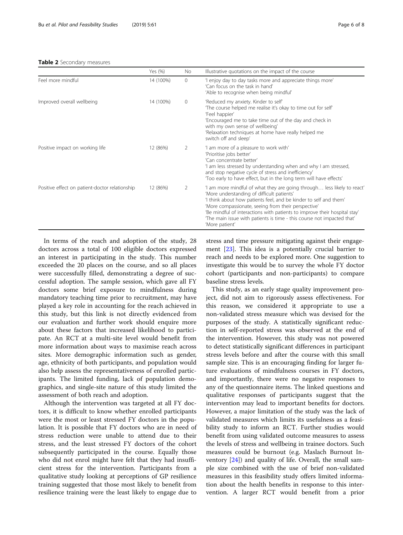<span id="page-5-0"></span>

|                                                | Yes $(\%)$ | No.      | Illustrative quotations on the impact of the course                                                                                                                                                                                                                                                                                                                                                                       |
|------------------------------------------------|------------|----------|---------------------------------------------------------------------------------------------------------------------------------------------------------------------------------------------------------------------------------------------------------------------------------------------------------------------------------------------------------------------------------------------------------------------------|
| Feel more mindful                              | 14 (100%)  | $\Omega$ | 'I enjoy day to day tasks more and appreciate things more'<br>'Can focus on the task in hand'<br>'Able to recognise when being mindful'                                                                                                                                                                                                                                                                                   |
| Improved overall wellbeing                     | 14 (100%)  | $\Omega$ | 'Reduced my anxiety. Kinder to self'<br>The course helped me realise it's okay to time out for self<br>'Feel happier'<br>'Encouraged me to take time out of the day and check in<br>with my own sense of wellbeing'<br>'Relaxation techniques at home have really helped me<br>switch off and sleep'                                                                                                                      |
| Positive impact on working life                | 12 (86%)   | 2        | 'I am more of a pleasure to work with'<br>'Prioritise jobs better'<br>'Can concentrate better'<br>'I am less stressed by understanding when and why I am stressed,<br>and stop negative cycle of stress and inefficiency'<br>Too early to have effect, but in the long term will have effects'                                                                                                                            |
| Positive effect on patient-doctor relationship | 12 (86%)   | 2        | 'I am more mindful of what they are going through less likely to react'<br>'More understanding of difficult patients'<br>'I think about how patients feel, and be kinder to self and them'<br>'More compassionate, seeing from their perspective'<br>'Be mindful of interactions with patients to improve their hospital stay'<br>The main issue with patients is time - this course not impacted that'<br>'More patient' |

In terms of the reach and adoption of the study, 28 doctors across a total of 100 eligible doctors expressed an interest in participating in the study. This number exceeded the 20 places on the course, and so all places were successfully filled, demonstrating a degree of successful adoption. The sample session, which gave all FY doctors some brief exposure to mindfulness during mandatory teaching time prior to recruitment, may have played a key role in accounting for the reach achieved in this study, but this link is not directly evidenced from our evaluation and further work should enquire more about these factors that increased likelihood to participate. An RCT at a multi-site level would benefit from more information about ways to maximise reach across sites. More demographic information such as gender, age, ethnicity of both participants, and population would also help assess the representativeness of enrolled participants. The limited funding, lack of population demographics, and single-site nature of this study limited the assessment of both reach and adoption.

Although the intervention was targeted at all FY doctors, it is difficult to know whether enrolled participants were the most or least stressed FY doctors in the population. It is possible that FY doctors who are in need of stress reduction were unable to attend due to their stress, and the least stressed FY doctors of the cohort subsequently participated in the course. Equally those who did not enrol might have felt that they had insufficient stress for the intervention. Participants from a qualitative study looking at perceptions of GP resilience training suggested that those most likely to benefit from resilience training were the least likely to engage due to stress and time pressure mitigating against their engagement [[23\]](#page-7-0). This idea is a potentially crucial barrier to reach and needs to be explored more. One suggestion to investigate this would be to survey the whole FY doctor cohort (participants and non-participants) to compare baseline stress levels.

This study, as an early stage quality improvement project, did not aim to rigorously assess effectiveness. For this reason, we considered it appropriate to use a non-validated stress measure which was devised for the purposes of the study. A statistically significant reduction in self-reported stress was observed at the end of the intervention. However, this study was not powered to detect statistically significant differences in participant stress levels before and after the course with this small sample size. This is an encouraging finding for larger future evaluations of mindfulness courses in FY doctors, and importantly, there were no negative responses to any of the questionnaire items. The linked questions and qualitative responses of participants suggest that the intervention may lead to important benefits for doctors. However, a major limitation of the study was the lack of validated measures which limits its usefulness as a feasibility study to inform an RCT. Further studies would benefit from using validated outcome measures to assess the levels of stress and wellbeing in trainee doctors. Such measures could be burnout (e.g. Maslach Burnout Inventory [\[24](#page-7-0)]) and quality of life. Overall, the small sample size combined with the use of brief non-validated measures in this feasibility study offers limited information about the health benefits in response to this intervention. A larger RCT would benefit from a prior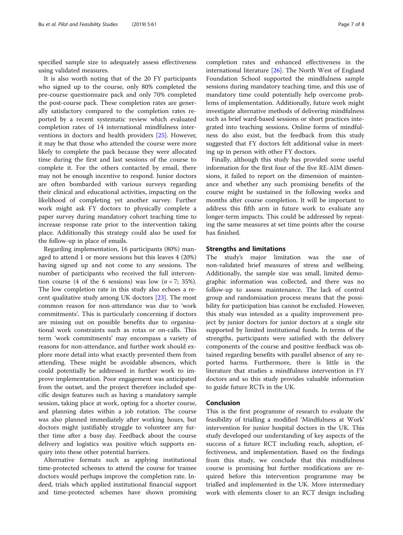specified sample size to adequately assess effectiveness using validated measures.

It is also worth noting that of the 20 FY participants who signed up to the course, only 80% completed the pre-course questionnaire pack and only 70% completed the post-course pack. These completion rates are generally satisfactory compared to the completion rates reported by a recent systematic review which evaluated completion rates of 14 international mindfulness interventions in doctors and health providers [[25](#page-7-0)]. However, it may be that those who attended the course were more likely to complete the pack because they were allocated time during the first and last sessions of the course to complete it. For the others contacted by email, there may not be enough incentive to respond. Junior doctors are often bombarded with various surveys regarding their clinical and educational activities, impacting on the likelihood of completing yet another survey. Further work might ask FY doctors to physically complete a paper survey during mandatory cohort teaching time to increase response rate prior to the intervention taking place. Additionally this strategy could also be used for the follow-up in place of emails.

Regarding implementation, 16 participants (80%) managed to attend 1 or more sessions but this leaves 4 (20%) having signed up and not come to any sessions. The number of participants who received the full intervention course (4 of the 6 sessions) was low  $(n = 7, 35\%)$ . The low completion rate in this study also echoes a recent qualitative study among UK doctors [[23](#page-7-0)]. The most common reason for non-attendance was due to 'work commitments'. This is particularly concerning if doctors are missing out on possible benefits due to organisational work constraints such as rotas or on-calls. This term 'work commitments' may encompass a variety of reasons for non-attendance, and further work should explore more detail into what exactly prevented them from attending. These might be avoidable absences, which could potentially be addressed in further work to improve implementation. Poor engagement was anticipated from the outset, and the project therefore included specific design features such as having a mandatory sample session, taking place at work, opting for a shorter course, and planning dates within a job rotation. The course was also planned immediately after working hours, but doctors might justifiably struggle to volunteer any further time after a busy day. Feedback about the course delivery and logistics was positive which supports enquiry into these other potential barriers.

Alternative formats such as applying institutional time-protected schemes to attend the course for trainee doctors would perhaps improve the completion rate. Indeed, trials which applied institutional financial support and time-protected schemes have shown promising

completion rates and enhanced effectiveness in the international literature [[26\]](#page-7-0). The North West of England Foundation School supported the mindfulness sample sessions during mandatory teaching time, and this use of mandatory time could potentially help overcome problems of implementation. Additionally, future work might investigate alternative methods of delivering mindfulness such as brief ward-based sessions or short practices integrated into teaching sessions. Online forms of mindfulness do also exist, but the feedback from this study

ing up in person with other FY doctors. Finally, although this study has provided some useful information for the first four of the five RE-AIM dimensions, it failed to report on the dimension of maintenance and whether any such promising benefits of the course might be sustained in the following weeks and months after course completion. It will be important to address this fifth arm in future work to evaluate any longer-term impacts. This could be addressed by repeating the same measures at set time points after the course has finished.

suggested that FY doctors felt additional value in meet-

### Strengths and limitations

The study's major limitation was the use of non-validated brief measures of stress and wellbeing. Additionally, the sample size was small, limited demographic information was collected, and there was no follow-up to assess maintenance. The lack of control group and randomisation process means that the possibility for participation bias cannot be excluded. However, this study was intended as a quality improvement project by junior doctors for junior doctors at a single site supported by limited institutional funds. In terms of the strengths, participants were satisfied with the delivery components of the course and positive feedback was obtained regarding benefits with parallel absence of any reported harms. Furthermore, there is little in the literature that studies a mindfulness intervention in FY doctors and so this study provides valuable information to guide future RCTs in the UK.

# Conclusion

This is the first programme of research to evaluate the feasibility of trialling a modified 'Mindfulness at Work' intervention for junior hospital doctors in the UK. This study developed our understanding of key aspects of the success of a future RCT including reach, adoption, effectiveness, and implementation. Based on the findings from this study, we conclude that this mindfulness course is promising but further modifications are required before this intervention programme may be trialled and implemented in the UK. More intermediary work with elements closer to an RCT design including